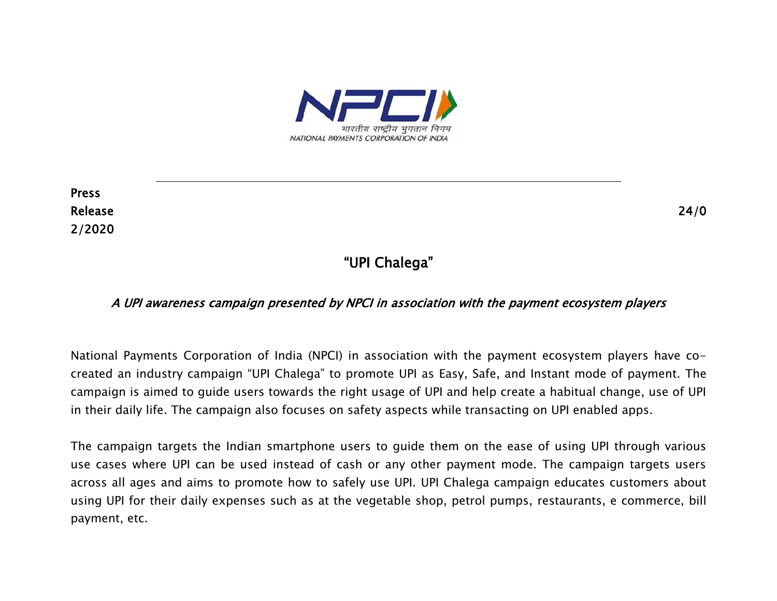

Press Release 24/0 2/2020

# "UPI Chalega"

## A UPI awareness campaign presented by NPCI in association with the payment ecosystem players

National Payments Corporation of India (NPCI) in association with the payment ecosystem players have cocreated an industry campaign "UPI Chalega" to promote UPI as Easy, Safe, and Instant mode of payment. The campaign is aimed to guide users towards the right usage of UPI and help create a habitual change, use of UPI in their daily life. The campaign also focuses on safety aspects while transacting on UPI enabled apps.

The campaign targets the Indian smartphone users to guide them on the ease of using UPI through various use cases where UPI can be used instead of cash or any other payment mode. The campaign targets users across all ages and aims to promote how to safely use UPI. UPI Chalega campaign educates customers about using UPI for their daily expenses such as at the vegetable shop, petrol pumps, restaurants, e commerce, bill payment, etc.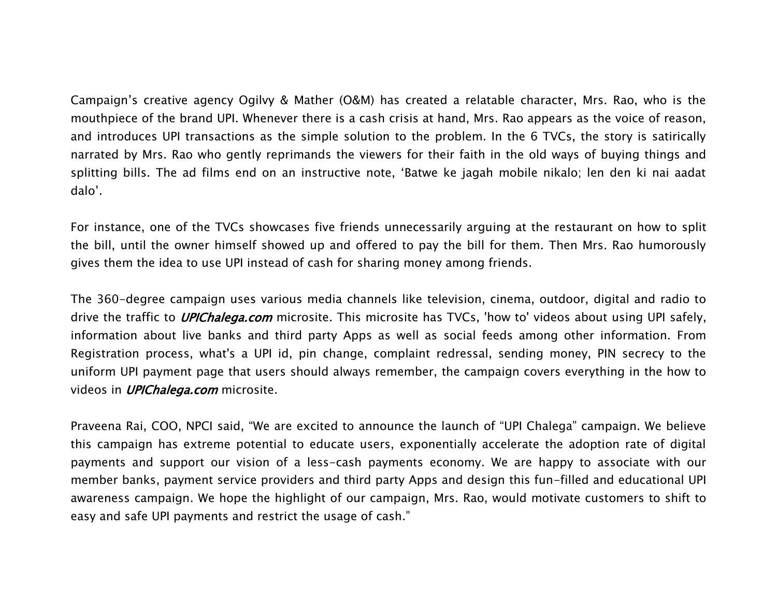Campaign's creative agency Ogilvy & Mather (O&M) has created a relatable character, Mrs. Rao, who is the mouthpiece of the brand UPI. Whenever there is a cash crisis at hand, Mrs. Rao appears as the voice of reason, and introduces UPI transactions as the simple solution to the problem. In the 6 TVCs, the story is satirically narrated by Mrs. Rao who gently reprimands the viewers for their faith in the old ways of buying things and splitting bills. The ad films end on an instructive note, 'Batwe ke jagah mobile nikalo; len den ki nai aadat dalo'.

For instance, one of the TVCs showcases five friends unnecessarily arguing at the restaurant on how to split the bill, until the owner himself showed up and offered to pay the bill for them. Then Mrs. Rao humorously gives them the idea to use UPI instead of cash for sharing money among friends.

The 360-degree campaign uses various media channels like television, cinema, outdoor, digital and radio to drive the traffic to *UPIChalega.com* microsite. This microsite has TVCs, 'how to' videos about using UPI safely, information about live banks and third party Apps as well as social feeds among other information. From Registration process, what's a UPI id, pin change, complaint redressal, sending money, PIN secrecy to the uniform UPI payment page that users should always remember, the campaign covers everything in the how to videos in *UPIChalega.com* microsite.

Praveena Rai, COO, NPCI said, "We are excited to announce the launch of "UPI Chalega" campaign. We believe this campaign has extreme potential to educate users, exponentially accelerate the adoption rate of digital payments and support our vision of a less-cash payments economy. We are happy to associate with our member banks, payment service providers and third party Apps and design this fun-filled and educational UPI awareness campaign. We hope the highlight of our campaign, Mrs. Rao, would motivate customers to shift to easy and safe UPI payments and restrict the usage of cash."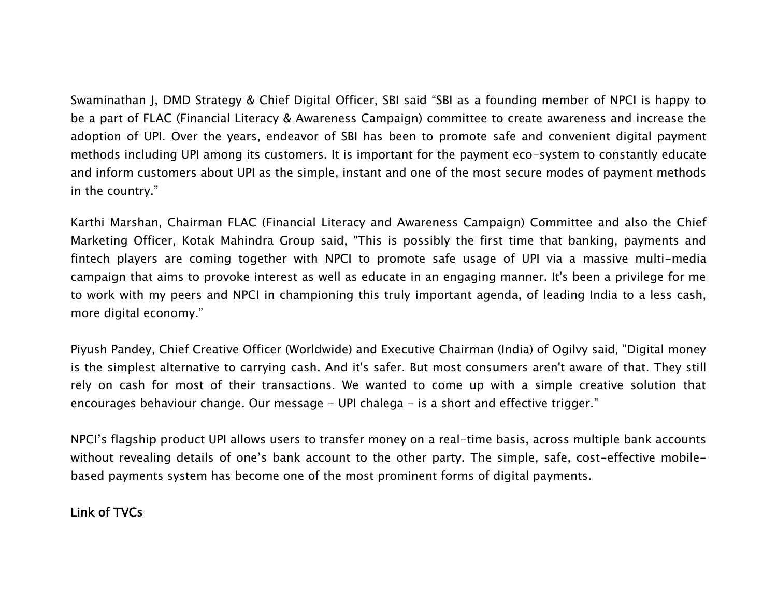Swaminathan J, DMD Strategy & Chief Digital Officer, SBI said "SBI as a founding member of NPCI is happy to be a part of FLAC (Financial Literacy & Awareness Campaign) committee to create awareness and increase the adoption of UPI. Over the years, endeavor of SBI has been to promote safe and convenient digital payment methods including UPI among its customers. It is important for the payment eco-system to constantly educate and inform customers about UPI as the simple, instant and one of the most secure modes of payment methods in the country."

Karthi Marshan, Chairman FLAC (Financial Literacy and Awareness Campaign) Committee and also the Chief Marketing Officer, Kotak Mahindra Group said, "This is possibly the first time that banking, payments and fintech players are coming together with NPCI to promote safe usage of UPI via a massive multi-media campaign that aims to provoke interest as well as educate in an engaging manner. It's been a privilege for me to work with my peers and NPCI in championing this truly important agenda, of leading India to a less cash, more digital economy."

Piyush Pandey, Chief Creative Officer (Worldwide) and Executive Chairman (India) of Ogilvy said, "Digital money is the simplest alternative to carrying cash. And it's safer. But most consumers aren't aware of that. They still rely on cash for most of their transactions. We wanted to come up with a simple creative solution that encourages behaviour change. Our message - UPI chalega - is a short and effective trigger."

NPCI's flagship product UPI allows users to transfer money on a real-time basis, across multiple bank accounts without revealing details of one's bank account to the other party. The simple, safe, cost-effective mobilebased payments system has become one of the most prominent forms of digital payments.

# Link of TVCs